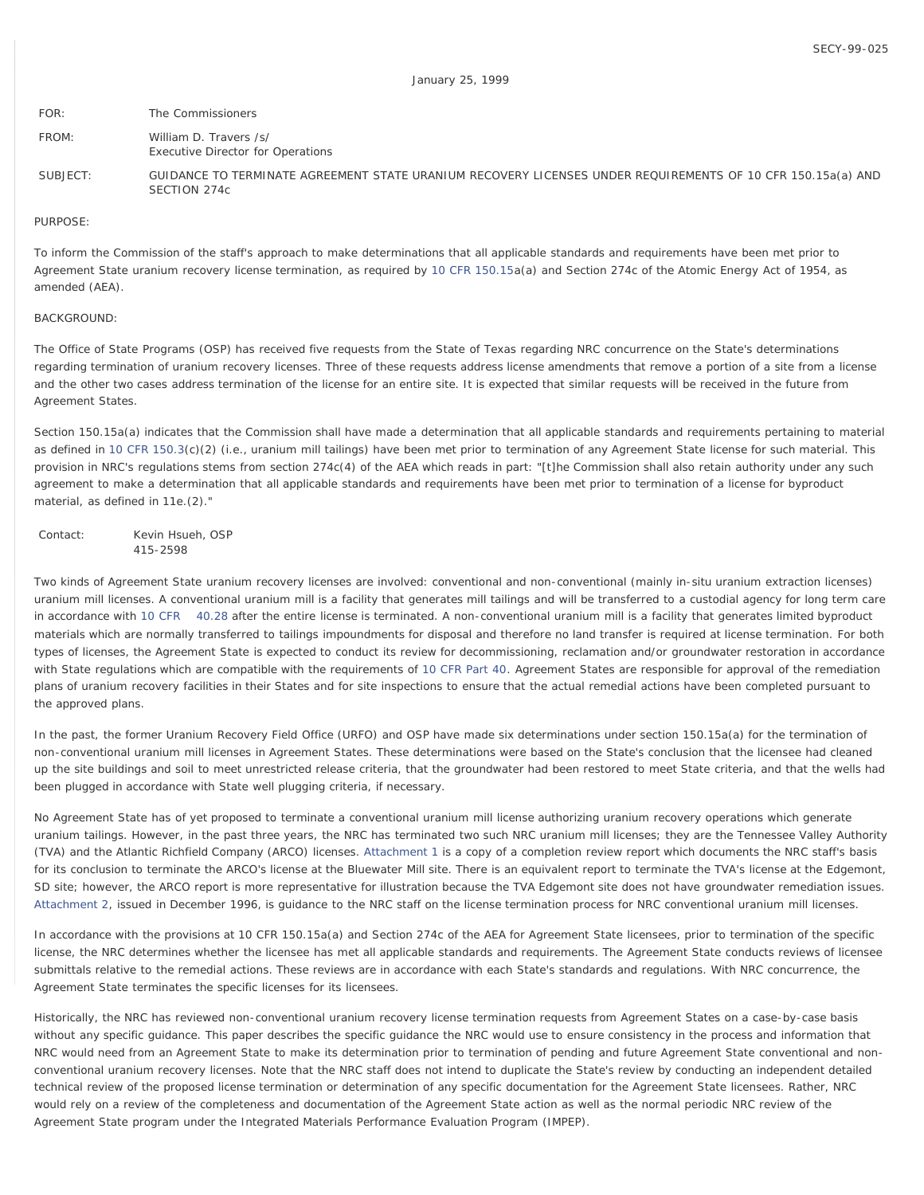| FOR:     | The Commissioners                                                                                                           |
|----------|-----------------------------------------------------------------------------------------------------------------------------|
| FROM:    | William D. Travers /s/<br><b>Executive Director for Operations</b>                                                          |
| SUBJECT: | GUIDANCE TO TERMINATE AGREEMENT STATE URANIUM RECOVERY LICENSES UNDER REQUIREMENTS OF 10 CFR 150.15a(a) AND<br>SECTION 274c |

PURPOSE:

To inform the Commission of the staff's approach to make determinations that all applicable standards and requirements have been met prior to Agreement State uranium recovery license termination, as required by [10 CFR 150.15a](http://www.nrc.gov/reading-rm/doc-collections/cfr/part150/part150-0015.html)(a) and Section 274c of the Atomic Energy Act of 1954, as amended (AEA).

#### BACKGROUND:

The Office of State Programs (OSP) has received five requests from the State of Texas regarding NRC concurrence on the State's determinations regarding termination of uranium recovery licenses. Three of these requests address license amendments that remove a portion of a site from a license and the other two cases address termination of the license for an entire site. It is expected that similar requests will be received in the future from Agreement States.

Section 150.15a(a) indicates that the Commission shall have made a determination that all applicable standards and requirements pertaining to material as defined in [10 CFR 150.3](http://www.nrc.gov/reading-rm/doc-collections/cfr/part150/part150-0003.html)(c)(2) (i.e., uranium mill tailings) have been met prior to termination of any Agreement State license for such material. This provision in NRC's regulations stems from section 274c(4) of the AEA which reads in part: "[t]he Commission shall also retain authority under any such agreement to make a determination that all applicable standards and requirements have been met prior to termination of a license for byproduct material, as defined in 11e.(2)."

Contact: Kevin Hsueh, OSP 415-2598

Two kinds of Agreement State uranium recovery licenses are involved: conventional and non-conventional (mainly in-situ uranium extraction licenses) uranium mill licenses. A conventional uranium mill is a facility that generates mill tailings and will be transferred to a custodial agency for long term care in accordance with [10 CFR 40.28](http://www.nrc.gov/reading-rm/doc-collections/cfr/part040/part040-0028.html) after the entire license is terminated. A non-conventional uranium mill is a facility that generates limited byproduct materials which are normally transferred to tailings impoundments for disposal and therefore no land transfer is required at license termination. For both types of licenses, the Agreement State is expected to conduct its review for decommissioning, reclamation and/or groundwater restoration in accordance with State regulations which are compatible with the requirements of [10 CFR Part 40](http://www.nrc.gov/reading-rm/doc-collections/cfr/part040/). Agreement States are responsible for approval of the remediation plans of uranium recovery facilities in their States and for site inspections to ensure that the actual remedial actions have been completed pursuant to the approved plans.

In the past, the former Uranium Recovery Field Office (URFO) and OSP have made six determinations under section 150.15a(a) for the termination of non-conventional uranium mill licenses in Agreement States. These determinations were based on the State's conclusion that the licensee had cleaned up the site buildings and soil to meet unrestricted release criteria, that the groundwater had been restored to meet State criteria, and that the wells had been plugged in accordance with State well plugging criteria, if necessary.

No Agreement State has of yet proposed to terminate a conventional uranium mill license authorizing uranium recovery operations which generate uranium tailings. However, in the past three years, the NRC has terminated two such NRC uranium mill licenses; they are the Tennessee Valley Authority (TVA) and the Atlantic Richfield Company (ARCO) licenses. [Attachment 1](http://www.nrc.gov/reading-rm/doc-collections/commission/secys/1999/attachments.html) is a copy of a completion review report which documents the NRC staff's basis for its conclusion to terminate the ARCO's license at the Bluewater Mill site. There is an equivalent report to terminate the TVA's license at the Edgemont, SD site; however, the ARCO report is more representative for illustration because the TVA Edgemont site does not have groundwater remediation issues. [Attachment 2,](http://www.nrc.gov/reading-rm/doc-collections/commission/secys/1999/attachments.html) issued in December 1996, is guidance to the NRC staff on the license termination process for NRC conventional uranium mill licenses.

In accordance with the provisions at 10 CFR 150.15a(a) and Section 274c of the AEA for Agreement State licensees, prior to termination of the specific license, the NRC determines whether the licensee has met all applicable standards and requirements. The Agreement State conducts reviews of licensee submittals relative to the remedial actions. These reviews are in accordance with each State's standards and regulations. With NRC concurrence, the Agreement State terminates the specific licenses for its licensees.

Historically, the NRC has reviewed non-conventional uranium recovery license termination requests from Agreement States on a case-by-case basis without any specific guidance. This paper describes the specific guidance the NRC would use to ensure consistency in the process and information that NRC would need from an Agreement State to make its determination prior to termination of pending and future Agreement State conventional and nonconventional uranium recovery licenses. Note that the NRC staff does not intend to duplicate the State's review by conducting an independent detailed technical review of the proposed license termination or determination of any specific documentation for the Agreement State licensees. Rather, NRC would rely on a review of the completeness and documentation of the Agreement State action as well as the normal periodic NRC review of the Agreement State program under the Integrated Materials Performance Evaluation Program (IMPEP).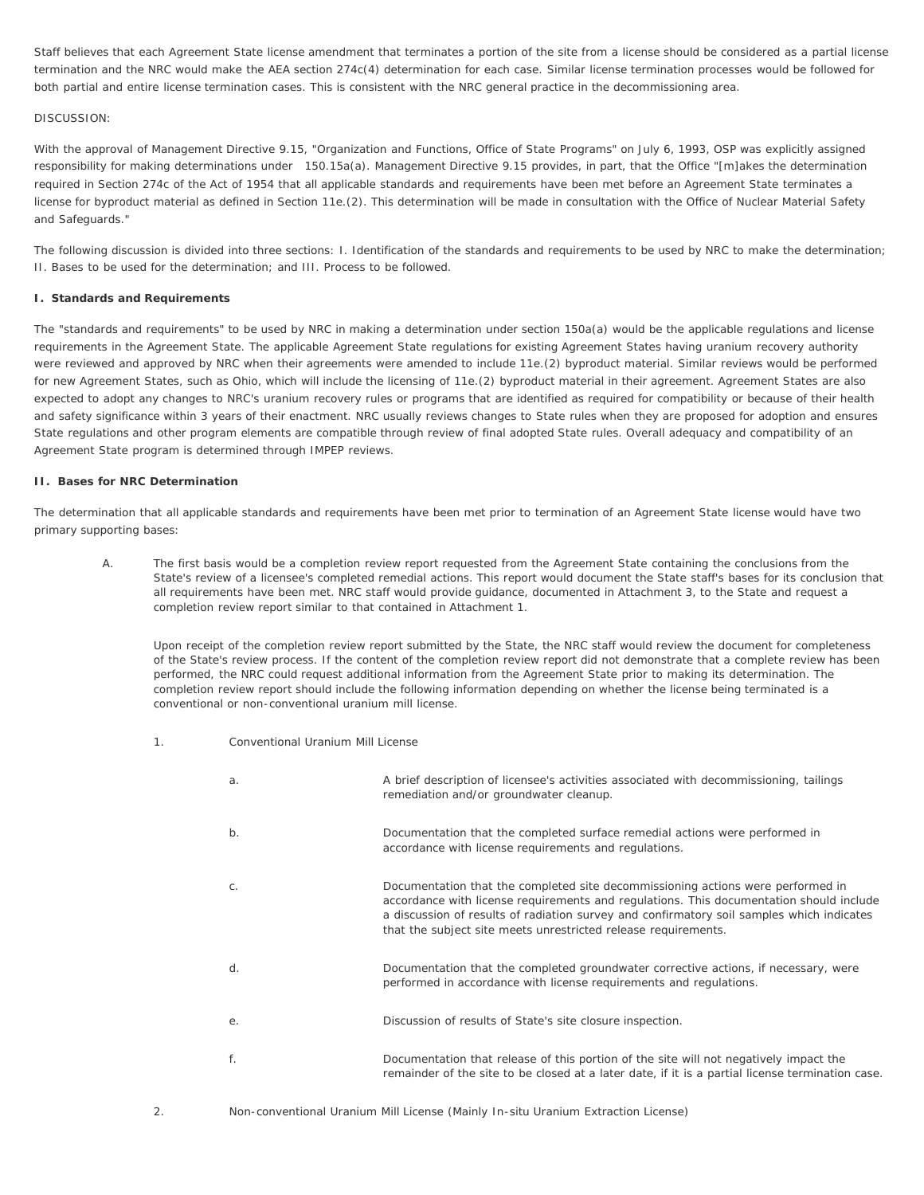Staff believes that each Agreement State license amendment that terminates a portion of the site from a license should be considered as a partial license termination and the NRC would make the AEA section 274c(4) determination for each case. Similar license termination processes would be followed for both partial and entire license termination cases. This is consistent with the NRC general practice in the decommissioning area.

# DISCUSSION:

With the approval of Management Directive 9.15, "Organization and Functions, Office of State Programs" on July 6, 1993, OSP was explicitly assigned responsibility for making determinations under 150.15a(a). Management Directive 9.15 provides, in part, that the Office "[m]akes the determination required in Section 274c of the Act of 1954 that all applicable standards and requirements have been met before an Agreement State terminates a license for byproduct material as defined in Section 11e.(2). This determination will be made in consultation with the Office of Nuclear Material Safety and Safeguards."

The following discussion is divided into three sections: I. Identification of the standards and requirements to be used by NRC to make the determination; II. Bases to be used for the determination; and III. Process to be followed.

### **I. Standards and Requirements**

The "standards and requirements" to be used by NRC in making a determination under section 150a(a) would be the applicable regulations and license requirements in the Agreement State. The applicable Agreement State regulations for existing Agreement States having uranium recovery authority were reviewed and approved by NRC when their agreements were amended to include 11e.(2) byproduct material. Similar reviews would be performed for new Agreement States, such as Ohio, which will include the licensing of 11e.(2) byproduct material in their agreement. Agreement States are also expected to adopt any changes to NRC's uranium recovery rules or programs that are identified as required for compatibility or because of their health and safety significance within 3 years of their enactment. NRC usually reviews changes to State rules when they are proposed for adoption and ensures State regulations and other program elements are compatible through review of final adopted State rules. Overall adequacy and compatibility of an Agreement State program is determined through IMPEP reviews.

### **II. Bases for NRC Determination**

The determination that all applicable standards and requirements have been met prior to termination of an Agreement State license would have two primary supporting bases:

A. The first basis would be a completion review report requested from the Agreement State containing the conclusions from the State's review of a licensee's completed remedial actions. This report would document the State staff's bases for its conclusion that all requirements have been met. NRC staff would provide guidance, documented in Attachment 3, to the State and request a completion review report similar to that contained in Attachment 1.

Upon receipt of the completion review report submitted by the State, the NRC staff would review the document for completeness of the State's review process. If the content of the completion review report did not demonstrate that a complete review has been performed, the NRC could request additional information from the Agreement State prior to making its determination. The completion review report should include the following information depending on whether the license being terminated is a conventional or non-conventional uranium mill license.

1. Conventional Uranium Mill License

| a.    | A brief description of licensee's activities associated with decommissioning, tailings<br>remediation and/or groundwater cleanup.                                                                                                                                                                                                         |
|-------|-------------------------------------------------------------------------------------------------------------------------------------------------------------------------------------------------------------------------------------------------------------------------------------------------------------------------------------------|
| $b$ . | Documentation that the completed surface remedial actions were performed in<br>accordance with license requirements and regulations.                                                                                                                                                                                                      |
| C.    | Documentation that the completed site decommissioning actions were performed in<br>accordance with license requirements and regulations. This documentation should include<br>a discussion of results of radiation survey and confirmatory soil samples which indicates<br>that the subject site meets unrestricted release requirements. |
| d.    | Documentation that the completed groundwater corrective actions, if necessary, were<br>performed in accordance with license requirements and regulations.                                                                                                                                                                                 |
| е.    | Discussion of results of State's site closure inspection.                                                                                                                                                                                                                                                                                 |
| f.    | Documentation that release of this portion of the site will not negatively impact the<br>remainder of the site to be closed at a later date, if it is a partial license termination case.                                                                                                                                                 |

2. Non-conventional Uranium Mill License (Mainly In-situ Uranium Extraction License)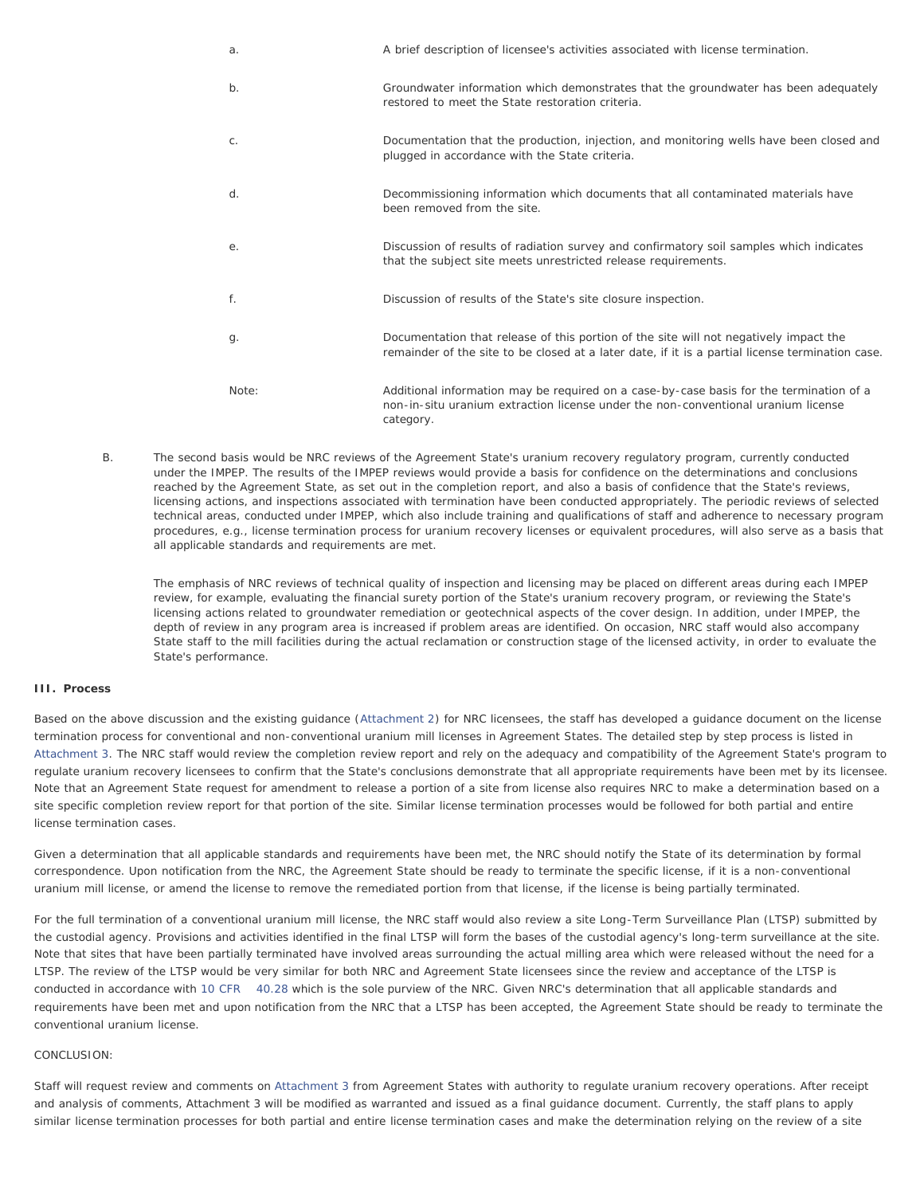| a.    | A brief description of licensee's activities associated with license termination.                                                                                                         |
|-------|-------------------------------------------------------------------------------------------------------------------------------------------------------------------------------------------|
| b.    | Groundwater information which demonstrates that the groundwater has been adequately<br>restored to meet the State restoration criteria.                                                   |
| $C$ . | Documentation that the production, injection, and monitoring wells have been closed and<br>plugged in accordance with the State criteria.                                                 |
| d.    | Decommissioning information which documents that all contaminated materials have<br>been removed from the site.                                                                           |
| е.    | Discussion of results of radiation survey and confirmatory soil samples which indicates<br>that the subject site meets unrestricted release requirements.                                 |
| f.    | Discussion of results of the State's site closure inspection.                                                                                                                             |
| g.    | Documentation that release of this portion of the site will not negatively impact the<br>remainder of the site to be closed at a later date, if it is a partial license termination case. |
| Note: | Additional information may be required on a case-by-case basis for the termination of a<br>non-in-situ uranium extraction license under the non-conventional uranium license<br>category. |

B. The second basis would be NRC reviews of the Agreement State's uranium recovery regulatory program, currently conducted under the IMPEP. The results of the IMPEP reviews would provide a basis for confidence on the determinations and conclusions reached by the Agreement State, as set out in the completion report, and also a basis of confidence that the State's reviews, licensing actions, and inspections associated with termination have been conducted appropriately. The periodic reviews of selected technical areas, conducted under IMPEP, which also include training and qualifications of staff and adherence to necessary program procedures, e.g., license termination process for uranium recovery licenses or equivalent procedures, will also serve as a basis that all applicable standards and requirements are met.

The emphasis of NRC reviews of technical quality of inspection and licensing may be placed on different areas during each IMPEP review, for example, evaluating the financial surety portion of the State's uranium recovery program, or reviewing the State's licensing actions related to groundwater remediation or geotechnical aspects of the cover design. In addition, under IMPEP, the depth of review in any program area is increased if problem areas are identified. On occasion, NRC staff would also accompany State staff to the mill facilities during the actual reclamation or construction stage of the licensed activity, in order to evaluate the State's performance.

### **III. Process**

Based on the above discussion and the existing guidance ([Attachment 2\)](http://www.nrc.gov/reading-rm/doc-collections/commission/secys/1999/attachments.html) for NRC licensees, the staff has developed a guidance document on the license termination process for conventional and non-conventional uranium mill licenses in Agreement States. The detailed step by step process is listed in [Attachment 3.](#page-3-0) The NRC staff would review the completion review report and rely on the adequacy and compatibility of the Agreement State's program to regulate uranium recovery licensees to confirm that the State's conclusions demonstrate that all appropriate requirements have been met by its licensee. Note that an Agreement State request for amendment to release a portion of a site from license also requires NRC to make a determination based on a site specific completion review report for that portion of the site. Similar license termination processes would be followed for both partial and entire license termination cases.

Given a determination that all applicable standards and requirements have been met, the NRC should notify the State of its determination by formal correspondence. Upon notification from the NRC, the Agreement State should be ready to terminate the specific license, if it is a non-conventional uranium mill license, or amend the license to remove the remediated portion from that license, if the license is being partially terminated.

For the full termination of a conventional uranium mill license, the NRC staff would also review a site Long-Term Surveillance Plan (LTSP) submitted by the custodial agency. Provisions and activities identified in the final LTSP will form the bases of the custodial agency's long-term surveillance at the site. Note that sites that have been partially terminated have involved areas surrounding the actual milling area which were released without the need for a LTSP. The review of the LTSP would be very similar for both NRC and Agreement State licensees since the review and acceptance of the LTSP is conducted in accordance with [10 CFR 40.28](http://www.nrc.gov/reading-rm/doc-collections/cfr/part040/part040-0028.html) which is the sole purview of the NRC. Given NRC's determination that all applicable standards and requirements have been met and upon notification from the NRC that a LTSP has been accepted, the Agreement State should be ready to terminate the conventional uranium license.

## CONCLUSION:

Staff will request review and comments on [Attachment 3](#page-3-0) from Agreement States with authority to regulate uranium recovery operations. After receipt and analysis of comments, Attachment 3 will be modified as warranted and issued as a final guidance document. Currently, the staff plans to apply similar license termination processes for both partial and entire license termination cases and make the determination relying on the review of a site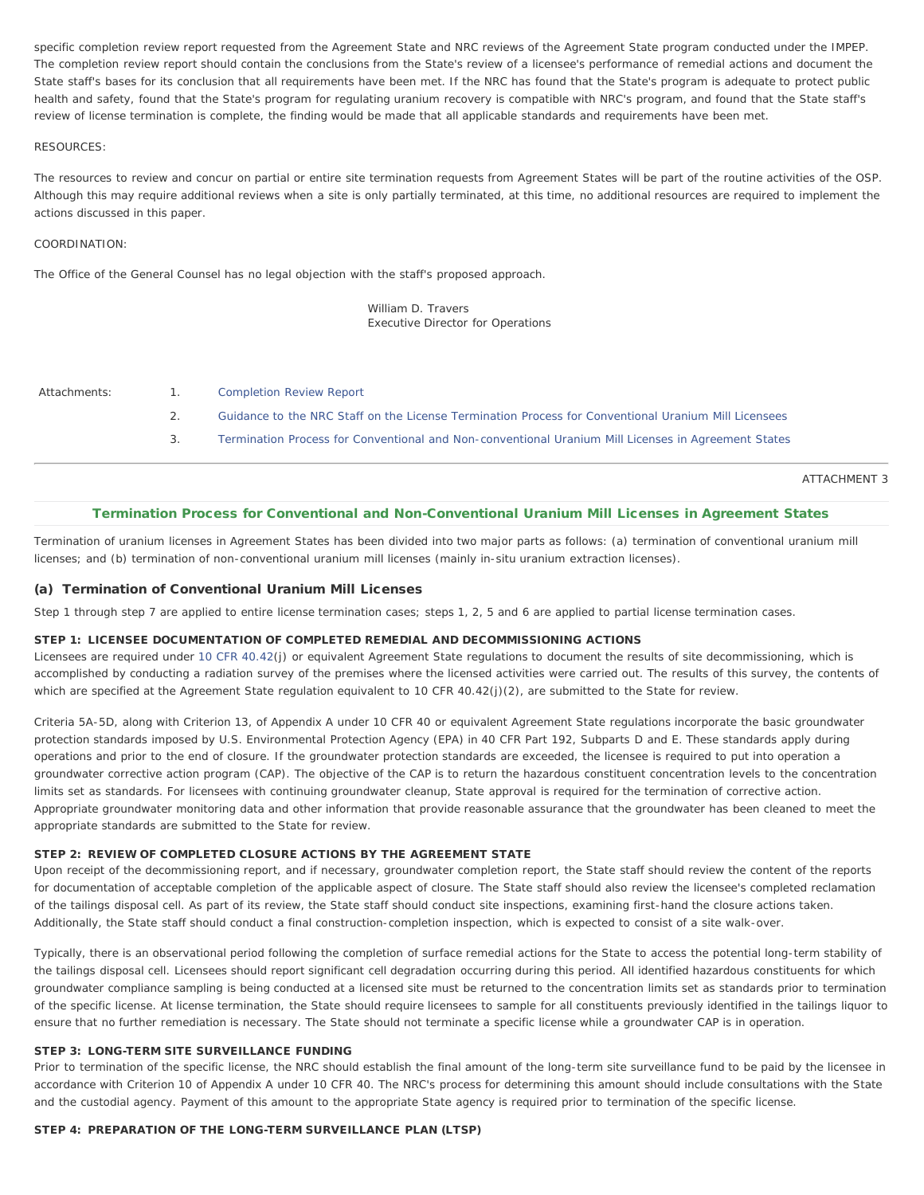specific completion review report requested from the Agreement State and NRC reviews of the Agreement State program conducted under the IMPEP. The completion review report should contain the conclusions from the State's review of a licensee's performance of remedial actions and document the State staff's bases for its conclusion that all requirements have been met. If the NRC has found that the State's program is adequate to protect public health and safety, found that the State's program for regulating uranium recovery is compatible with NRC's program, and found that the State staff's review of license termination is complete, the finding would be made that all applicable standards and requirements have been met.

#### RESOURCES:

The resources to review and concur on partial or entire site termination requests from Agreement States will be part of the routine activities of the OSP. Although this may require additional reviews when a site is only partially terminated, at this time, no additional resources are required to implement the actions discussed in this paper.

### COORDINATION:

The Office of the General Counsel has no legal objection with the staff's proposed approach.

William D. Travers Executive Director for Operations

- Attachments: 1. [Completion Review Report](http://www.nrc.gov/reading-rm/doc-collections/commission/secys/1999/attachments.html)
	- 2. [Guidance to the NRC Staff on the License Termination Process for Conventional Uranium Mill Licensees](http://www.nrc.gov/reading-rm/doc-collections/commission/secys/1999/attachments.html)
	- 3. [Termination Process for Conventional and Non-conventional Uranium Mill Licenses in Agreement States](#page-3-0)

ATTACHMENT 3

# Termination Process for Conventional and Non-Conventional Uranium Mill Licenses in Agreement States

<span id="page-3-0"></span>Termination of uranium licenses in Agreement States has been divided into two major parts as follows: (a) termination of conventional uranium mill licenses; and (b) termination of non-conventional uranium mill licenses (mainly in-situ uranium extraction licenses).

# (a) Termination of Conventional Uranium Mill Licenses

Step 1 through step 7 are applied to entire license termination cases; steps 1, 2, 5 and 6 are applied to partial license termination cases.

## STEP 1: LICENSEE DOCUMENTATION OF COMPLETED REMEDIAL AND DECOMMISSIONING ACTIONS

Licensees are required under [10 CFR 40.42](http://www.nrc.gov/reading-rm/doc-collections/cfr/part040/part040-0042.html)(j) or equivalent Agreement State regulations to document the results of site decommissioning, which is accomplished by conducting a radiation survey of the premises where the licensed activities were carried out. The results of this survey, the contents of which are specified at the Agreement State regulation equivalent to 10 CFR 40.42(j)(2), are submitted to the State for review.

Criteria 5A-5D, along with Criterion 13, of Appendix A under 10 CFR 40 or equivalent Agreement State regulations incorporate the basic groundwater protection standards imposed by U.S. Environmental Protection Agency (EPA) in 40 CFR Part 192, Subparts D and E. These standards apply during operations and prior to the end of closure. If the groundwater protection standards are exceeded, the licensee is required to put into operation a groundwater corrective action program (CAP). The objective of the CAP is to return the hazardous constituent concentration levels to the concentration limits set as standards. For licensees with continuing groundwater cleanup, State approval is required for the termination of corrective action. Appropriate groundwater monitoring data and other information that provide reasonable assurance that the groundwater has been cleaned to meet the appropriate standards are submitted to the State for review.

## STEP 2: REVIEW OF COMPLETED CLOSURE ACTIONS BY THE AGREEMENT STATE

Upon receipt of the decommissioning report, and if necessary, groundwater completion report, the State staff should review the content of the reports for documentation of acceptable completion of the applicable aspect of closure. The State staff should also review the licensee's completed reclamation of the tailings disposal cell. As part of its review, the State staff should conduct site inspections, examining first-hand the closure actions taken. Additionally, the State staff should conduct a final construction-completion inspection, which is expected to consist of a site walk-over.

Typically, there is an observational period following the completion of surface remedial actions for the State to access the potential long-term stability of the tailings disposal cell. Licensees should report significant cell degradation occurring during this period. All identified hazardous constituents for which groundwater compliance sampling is being conducted at a licensed site must be returned to the concentration limits set as standards prior to termination of the specific license. At license termination, the State should require licensees to sample for all constituents previously identified in the tailings liquor to ensure that no further remediation is necessary. The State should not terminate a specific license while a groundwater CAP is in operation.

### STEP 3: LONG-TERM SITE SURVEILLANCE FUNDING

Prior to termination of the specific license, the NRC should establish the final amount of the long-term site surveillance fund to be paid by the licensee in accordance with Criterion 10 of Appendix A under 10 CFR 40. The NRC's process for determining this amount should include consultations with the State and the custodial agency. Payment of this amount to the appropriate State agency is required prior to termination of the specific license.

## STEP 4: PREPARATION OF THE LONG-TERM SURVEILLANCE PLAN (LTSP)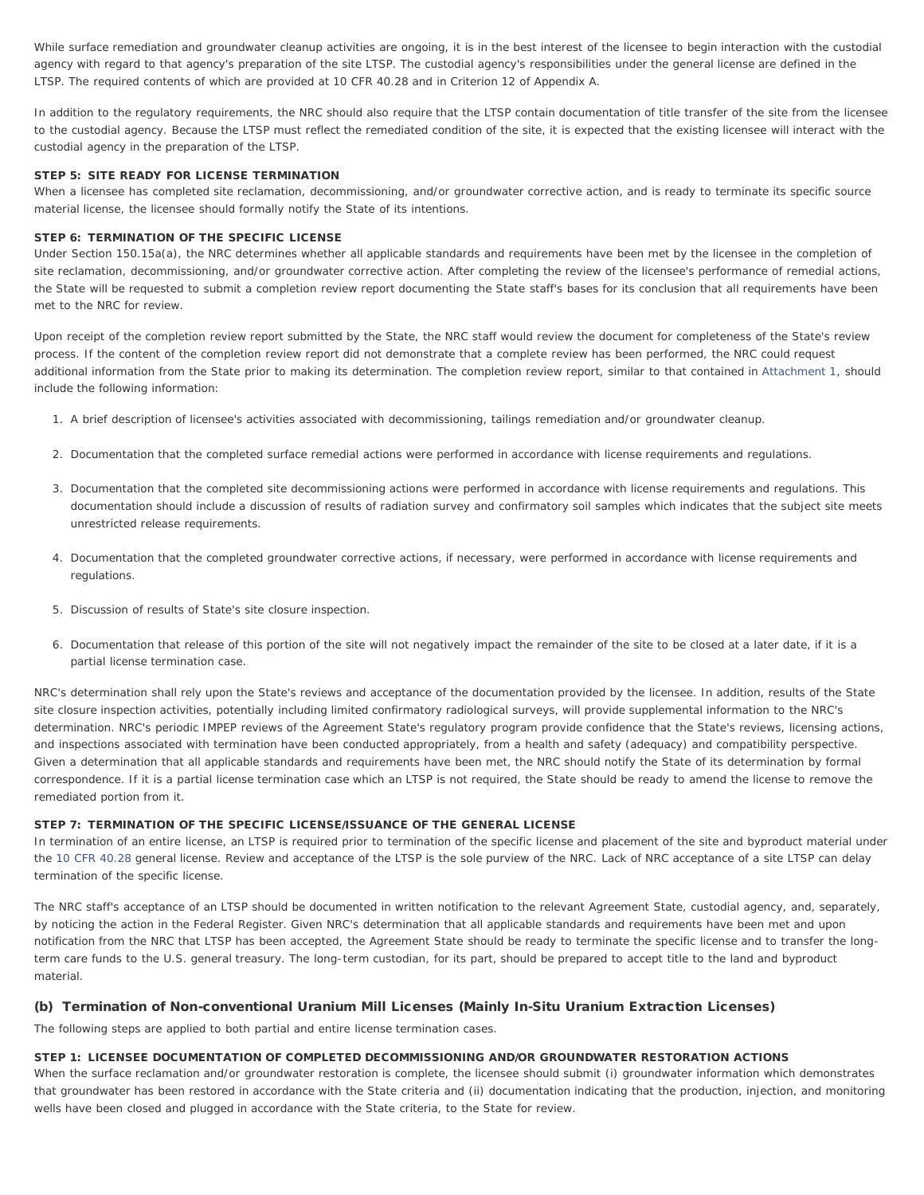While surface remediation and groundwater cleanup activities are ongoing, it is in the best interest of the licensee to begin interaction with the custodial agency with regard to that agency's preparation of the site LTSP. The custodial agency's responsibilities under the general license are defined in the LTSP. The required contents of which are provided at 10 CFR 40.28 and in Criterion 12 of Appendix A.

In addition to the regulatory requirements, the NRC should also require that the LTSP contain documentation of title transfer of the site from the licensee to the custodial agency. Because the LTSP must reflect the remediated condition of the site, it is expected that the existing licensee will interact with the custodial agency in the preparation of the LTSP.

## STEP 5: SITE READY FOR LICENSE TERMINATION

When a licensee has completed site reclamation, decommissioning, and/or groundwater corrective action, and is ready to terminate its specific source material license, the licensee should formally notify the State of its intentions.

### STEP 6: TERMINATION OF THE SPECIFIC LICENSE

Under Section 150.15a(a), the NRC determines whether all applicable standards and requirements have been met by the licensee in the completion of site reclamation, decommissioning, and/or groundwater corrective action. After completing the review of the licensee's performance of remedial actions, the State will be requested to submit a completion review report documenting the State staff's bases for its conclusion that all requirements have been met to the NRC for review.

Upon receipt of the completion review report submitted by the State, the NRC staff would review the document for completeness of the State's review process. If the content of the completion review report did not demonstrate that a complete review has been performed, the NRC could request additional information from the State prior to making its determination. The completion review report, similar to that contained in [Attachment 1,](http://www.nrc.gov/reading-rm/doc-collections/commission/secys/1999/attachments.html) should include the following information:

- 1. A brief description of licensee's activities associated with decommissioning, tailings remediation and/or groundwater cleanup.
- 2. Documentation that the completed surface remedial actions were performed in accordance with license requirements and regulations.
- 3. Documentation that the completed site decommissioning actions were performed in accordance with license requirements and regulations. This documentation should include a discussion of results of radiation survey and confirmatory soil samples which indicates that the subject site meets unrestricted release requirements.
- 4. Documentation that the completed groundwater corrective actions, if necessary, were performed in accordance with license requirements and regulations.
- 5. Discussion of results of State's site closure inspection.
- 6. Documentation that release of this portion of the site will not negatively impact the remainder of the site to be closed at a later date, if it is a partial license termination case.

NRC's determination shall rely upon the State's reviews and acceptance of the documentation provided by the licensee. In addition, results of the State site closure inspection activities, potentially including limited confirmatory radiological surveys, will provide supplemental information to the NRC's determination. NRC's periodic IMPEP reviews of the Agreement State's regulatory program provide confidence that the State's reviews, licensing actions, and inspections associated with termination have been conducted appropriately, from a health and safety (adequacy) and compatibility perspective. Given a determination that all applicable standards and requirements have been met, the NRC should notify the State of its determination by formal correspondence. If it is a partial license termination case which an LTSP is not required, the State should be ready to amend the license to remove the remediated portion from it.

#### STEP 7: TERMINATION OF THE SPECIFIC LICENSE/ISSUANCE OF THE GENERAL LICENSE

In termination of an entire license, an LTSP is required prior to termination of the specific license and placement of the site and byproduct material under the [10 CFR 40.28](http://www.nrc.gov/reading-rm/doc-collections/cfr/part040/part040-0028.html) general license. Review and acceptance of the LTSP is the sole purview of the NRC. Lack of NRC acceptance of a site LTSP can delay termination of the specific license.

The NRC staff's acceptance of an LTSP should be documented in written notification to the relevant Agreement State, custodial agency, and, separately, by noticing the action in the Federal Register. Given NRC's determination that all applicable standards and requirements have been met and upon notification from the NRC that LTSP has been accepted, the Agreement State should be ready to terminate the specific license and to transfer the longterm care funds to the U.S. general treasury. The long-term custodian, for its part, should be prepared to accept title to the land and byproduct material.

### (b) Termination of Non-conventional Uranium Mill Licenses (Mainly In-Situ Uranium Extraction Licenses)

The following steps are applied to both partial and entire license termination cases.

#### STEP 1: LICENSEE DOCUMENTATION OF COMPLETED DECOMMISSIONING AND/OR GROUNDWATER RESTORATION ACTIONS

When the surface reclamation and/or groundwater restoration is complete, the licensee should submit (i) groundwater information which demonstrates that groundwater has been restored in accordance with the State criteria and (ii) documentation indicating that the production, injection, and monitoring wells have been closed and plugged in accordance with the State criteria, to the State for review.